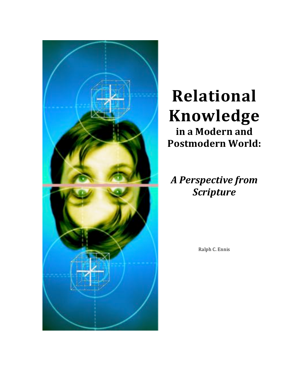

## **Relational Knowledge** in a Modern and

*A Perspective from Scripture*

Ralph C. Ennis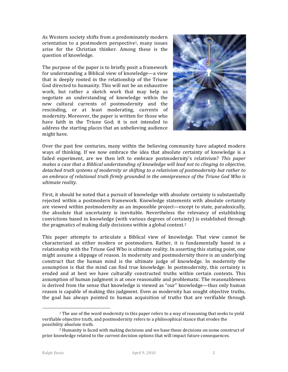As Western society shifts from a predominately modern orientation to a postmodern perspective<sup>1</sup>, many issues arise for the Christian thinker. Among these is the question of knowledge.

The purpose of the paper is to briefly posit a framework for understanding a Biblical view of knowledge—a view that is deeply rooted in the relationship of the Triune God directed to humanity. This will not be an exhaustive work, but rather a sketch work that may help us negotiate an understanding of knowledge within the new cultural currents of postmodernity and the rescinding, or at least moderating, currents of modernity. Moreover, the paper is written for those who have faith in the Triune God; it is not intended to address the starting places that an unbelieving audience might have.



Over the past few centuries, many within the believing community have adapted modern ways of thinking. If we now embrace the idea that absolute certainty of knowledge is a failed experiment, are we then left to embrace postmodernity's relativism? This paper makes a case that a Biblical understanding of knowledge will lead not to clinging to objective, detached truth systems of modernity or shifting to a relativism of postmodernity but rather to an embrace of relational truth firmly grounded in the omnipresence of the Triune God Who is *ultimate reality.*

First, it should be noted that a pursuit of knowledge with absolute certainty is substantially rejected within a postmodern framework. Knowledge statements with absolute certainty are viewed within postmodernity as an impossible project—except to state, paradoxically, the absolute that uncertainty is inevitable. Nevertheless the relevancy of establishing convictions based in knowledge (with various degrees of certainty) is established through the pragmatics of making daily decisions within a global context.<sup>2</sup>

This paper attempts to articulate a Biblical view of knowledge. That view cannot be characterized as either modern or postmodern. Rather, it is fundamentally based in a relationship with the Triune God Who is ultimate reality. In asserting this stating point, one might assume a slippage of reason. In modernity and postmodernity there is an underlying construct that the human mind is the ultimate judge of knowledge. In modernity the assumption is that the mind can find true knowledge. In postmodernity, this certainty is eroded and at best we have culturally constructed truths within certain contexts. This assumption of human judgment is at once reasonable and problematic. The reasonableness is derived from the sense that knowledge is viewed as "our" knowledge—thus only human reason is capable of making this judgment. Even as modernity has sought objective truths, the goal has always pointed to human acquisition of truths that are verifiable through

1

 $1$  The use of the word modernity in this paper refers to a way of reasoning that seeks to yield verifiable objective truth, and postmodernity refers to a philosophical stance that erodes the possibility absolute truth.

 $<sup>2</sup>$  Humanity is faced with making decisions and we base those decisions on some construct of</sup> prior knowledge related to the current decision options that will impact future consequences.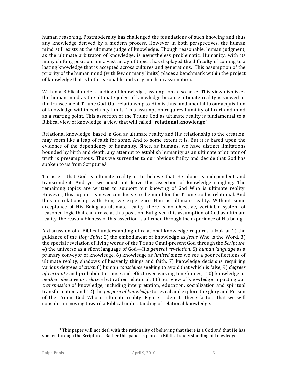human reasoning. Postmodernity has challenged the foundations of such knowing and thus any knowledge derived by a modern process. However in both perspectives, the human mind still exists at the ultimate judge of knowledge. Though reasonable, human judgment, as the ultimate arbitrator of knowledge, is nevertheless problematic. Humanity, with its many shifting positions on a vast array of topics, has displayed the difficulty of coming to a lasting knowledge that is accepted across cultures and generations. This assumption of the priority of the human mind (with few or many limits) places a benchmark within the project of knowledge that is both reasonable and very much an assumption.

Within a Biblical understanding of knowledge, assumptions also arise. This view dismisses the human mind as the ultimate judge of knowledge because ultimate reality is viewed as the transcendent Triune God. Our relationship to Him is thus fundamental to our acquisition of knowledge within certainty limits. This assumption requires humility of heart and mind as a starting point. This assertion of the Triune God as ultimate reality is fundamental to a Biblical view of knowledge, a view that will called "relational knowledge".

Relational knowledge, based in God as ultimate reality and His relationship to the creation, may seem like a leap of faith for some. And to some extent it is. But it is based upon the evidence of the dependency of humanity. Since, as humans, we have distinct limitations bounded by birth and death, any attempt to establish humanity as an ultimate arbitrator of truth is presumptuous. Thus we surrender to our obvious frailty and decide that God has spoken to us from Scripture.<sup>3</sup>

To assert that God is ultimate reality is to believe that He alone is independent and transcendent. And yet we must not leave this assertion of knowledge dangling. The remaining topics are written to support our knowing of God Who is ultimate reality. However, this support is never conclusive to the mind for the Triune God is relational. And thus in relationship with Him, we experience Him as ultimate reality. Without some acceptance of His Being as ultimate reality, there is no objective, verifiable system of reasoned logic that can arrive at this position. But given this assumption of God as ultimate reality, the reasonableness of this assertion is affirmed through the experience of His being.

A discussion of a Biblical understanding of relational knowledge requires a look at 1) the guidance of the *Holy Spirit* 2) the embodiment of knowledge as *Jesus* Who is the Word, 3) the special revelation of living words of the Triune Omni-present God through the *Scripture*, 4) the universe as a silent language of God—His *general revelation*, 5) *human language* as a primary conveyor of knowledge, 6) knowledge as *limited* since we see a poor reflections of ultimate reality, shadows of heavenly things and faith, 7) knowledge decisions requiring various degrees of *trust*, 8) human *conscience* seeking to avoid that which is false, 9) *degrees of certainty* and probabilistic cause and effect over varying timeframes, 10) knowledge as *neither objective or relative* but rather relational, 11) our view of knowledge impacting our *transmission* of knowledge, including interpretation, education, socialization and spiritual transformation and 12) the *purpose of knowledge* to reveal and explore the glory and Person of the Triune God Who is ultimate reality. Figure 1 depicts these factors that we will consider in moving toward a Biblical understanding of relational knowledge.

1

 $3$  This paper will not deal with the rationality of believing that there is a God and that He has spoken through the Scriptures. Rather this paper explores a Biblical understanding of knowledge.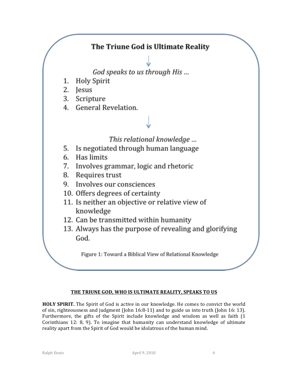

## THE TRIUNE GOD, WHO IS ULTIMATE REALITY, SPEAKS TO US

**HOLY SPIRIT.** The Spirit of God is active in our knowledge. He comes to convict the world of sin, righteousness and judgment (John 16:8-11) and to guide us into truth (John 16: 13). Furthermore, the gifts of the Spirit include knowledge and wisdom as well as faith  $(1)$ Corinthians 12: 8, 9). To imagine that humanity can understand knowledge of ultimate reality apart from the Spirit of God would be idolatrous of the human mind.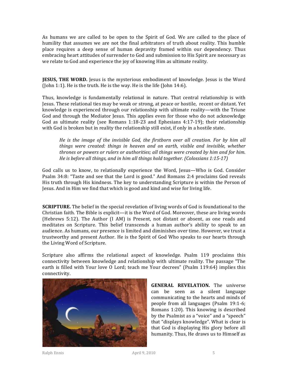As humans we are called to be open to the Spirit of God. We are called to the place of humility that assumes we are not the final arbitrators of truth about reality. This humble place requires a deep sense of human depravity framed within our dependency. Thus embracing heart attitudes of surrender to God and submission to His Spirit are necessary as we relate to God and experience the joy of knowing Him as ultimate reality.

**JESUS, THE WORD.** Jesus is the mysterious embodiment of knowledge. Jesus is the Word (John 1:1). He is the truth. He is the way. He is the life (John  $14:6$ ).

Thus, knowledge is fundamentally relational in nature. That central relationship is with Jesus. These relational ties may be weak or strong, at peace or hostile, recent or distant. Yet knowledge is experienced through our relationship with ultimate reality—with the Triune God and through the Mediator Jesus. This applies even for those who do not acknowledge God as ultimate reality (see Romans  $1:18-23$  and Ephesians  $4:17-19$ ); their relationship with God is broken but in reality the relationship still exist, if only in a hostile state.

*He* is the image of the invisible God, the firstborn over all creation. For by him all *things were created: things in heaven and on earth, visible and invisible, whether thrones or powers or rulers or authorities; all things were created by him and for him. He* is before all things, and in him all things hold together. (Colossians 1:15-17)

God calls us to know, to relationally experience the Word, Jesus—Who is God. Consider Psalm 34:8: "Taste and see that the Lord is good." And Romans 2:4 proclaims God reveals His truth through His kindness. The key to understanding Scripture is within the Person of Jesus. And in Him we find that which is good and kind and wise for living life.

**SCRIPTURE.** The belief in the special revelation of living words of God is foundational to the Christian faith. The Bible is explicit—it is the Word of God. Moreover, these are living words (Hebrews 5:12). The Author (I AM) is Present, not distant or absent, as one reads and meditates on Scripture. This belief transcends a human author's ability to speak to an audience. As humans, our presence is limited and diminishes over time. However, we trust a trustworthy and present Author. He is the Spirit of God Who speaks to our hearts through the Living Word of Scripture.

Scripture also affirms the relational aspect of knowledge. Psalm 119 proclaims this connectivity between knowledge and relationship with ultimate reality. The passage "The earth is filled with Your love O Lord; teach me Your decrees" (Psalm 119:64) implies this connectivity.



**GENERAL REVELATION.** The universe can be seen as a silent language communicating to the hearts and minds of people from all languages (Psalm 19:1-6; Romans  $1:20$ ). This knowing is described by the Psalmist as a "voice" and a "speech" that "displays knowledge". What is clear is that God is displaying His glory before all humanity. Thus, He draws us to Himself as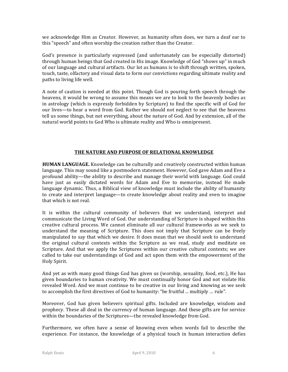we acknowledge Him as Creator. However, as humanity often does, we turn a deaf ear to this "speech" and often worship the creation rather than the Creator.

God's presence is particularly expressed (and unfortunately can be especially distorted) through human beings that God created in His image. Knowledge of God "shows up" in much of our language and cultural artifacts. Our lot as humans is to shift through written, spoken, touch, taste, olfactory and visual data to form our convictions regarding ultimate reality and paths to living life well.

A note of caution is needed at this point. Though God is pouring forth speech through the heavens, it would be wrong to assume this means we are to look to the heavenly bodies as in astrology (which is expressly forbidden by Scripture) to find the specific will of God for our lives—to hear a word from God. Rather we should not neglect to see that the heavens tell us some things, but not everything, about the nature of God. And by extension, all of the natural world points to God Who is ultimate reality and Who is omnipresent.

## THE NATURE AND PURPOSE OF RELATIONAL KNOWLEDGE

**HUMAN LANGUAGE.** Knowledge can be culturally and creatively constructed within human language. This may sound like a postmodern statement. However, God gave Adam and Eve a profound ability—the ability to describe and manage their world with language. God could have just as easily dictated words for Adam and Eve to memorize, instead He made language dynamic. Thus, a Biblical view of knowledge must include the ability of humanity to create and interpret language—to create knowledge about reality and even to imagine that which is not real.

It is within the cultural community of believers that we understand, interpret and communicate the Living Word of God. Our understanding of Scripture is shaped within this creative cultural process. We cannot eliminate all our cultural frameworks as we seek to understand the meaning of Scripture. This does not imply that Scripture can be freely manipulated to say that which we desire. It does mean that we should seek to understand the original cultural contexts within the Scripture as we read, study and meditate on Scripture. And that we apply the Scriptures within our creative cultural contexts; we are called to take our understandings of God and act upon them with the empowerment of the Holy Spirit.

And yet as with many good things God has given us (worship, sexuality, food, etc.), He has given boundaries to human creativity. We must continually honor God and not violate His revealed Word. And we must continue to be creative in our living and knowing as we seek to accomplish the first directives of God to humanity: "be fruitful ... multiply ... rule".

Moreover, God has given believers spiritual gifts. Included are knowledge, wisdom and prophecy. These all deal in the currency of human language. And these gifts are for service within the boundaries of the Scriptures—the revealed knowledge from God.

Furthermore, we often have a sense of knowing even when words fail to describe the experience. For instance, the knowledge of a physical touch in human interaction defies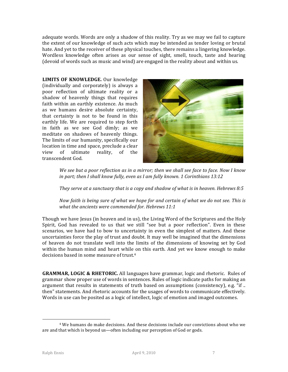adequate words. Words are only a shadow of this reality. Try as we may we fail to capture the extent of our knowledge of such acts which may be intended as tender loving or brutal hate. And yet to the receiver of these physical touches, there remains a lingering knowledge. Wordless knowledge often arises as our sense of sight, smell, touch, taste and hearing (devoid of words such as music and wind) are engaged in the reality about and within us.

LIMITS OF KNOWLEDGE. Our knowledge (individually and corporately) is always a poor reflection of ultimate reality or a shadow of heavenly things that requires faith within an earthly existence. As much as we humans desire absolute certainty, that certainty is not to be found in this earthly life. We are required to step forth in faith as we see God dimly; as we meditate on shadows of heavenly things. The limits of our humanity, specifically our location in time and space, preclude a clear view of ultimate reality, of the transcendent God.



*We see but a poor reflection as in a mirror; then we shall see face to face. Now I know in part;* then I shall know fully, even as I am fully known. 1 Corinthians 13:12

*They serve at a sanctuary that is a copy and shadow of what is in heaven. Hebrews 8:5* 

*Now faith is being sure of what we hope for and certain of what we do not see. This is* what the ancients were commended for. Hebrews 11:1

Though we have Jesus (in heaven and in us), the Living Word of the Scriptures and the Holy Spirit, God has revealed to us that we still "see but a poor reflection". Even in these scenarios, we have had to bow to uncertainty in even the simplest of matters. And these uncertainties force the play of trust and doubt. It may well be imagined that the dimensions of heaven do not translate well into the limits of the dimensions of knowing set by God within the human mind and heart while on this earth. And yet we know enough to make decisions based in some measure of trust.<sup>4</sup>

**GRAMMAR, LOGIC & RHETORIC.** All languages have grammar, logic and rhetoric. Rules of grammar show proper use of words in sentences. Rules of logic indicate paths for making an argument that results in statements of truth based on assumptions (consistency), e.g. "if ... then" statements. And rhetoric accounts for the usages of words to communicate effectively. Words in use can be posited as a logic of intellect, logic of emotion and imaged outcomes.

<u>.</u>

<sup>&</sup>lt;sup>4</sup> We humans do make decisions. And these decisions include our convictions about who we are and that which is beyond us-often including our perception of God or gods.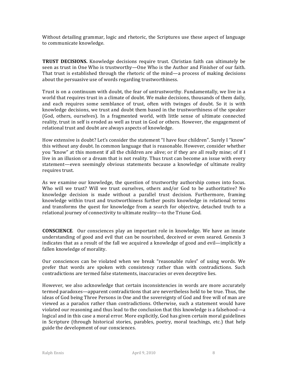Without detailing grammar, logic and rhetoric, the Scriptures use these aspect of language to communicate knowledge.

**TRUST DECISIONS.** Knowledge decisions require trust. Christian faith can ultimately be seen as trust in One Who is trustworthy—One Who is the Author and Finisher of our faith. That trust is established through the rhetoric of the mind—a process of making decisions about the persuasive use of words regarding trustworthiness.

Trust is on a continuum with doubt, the fear of untrustworthy. Fundamentally, we live in a world that requires trust in a climate of doubt. We make decisions, thousands of them daily, and each requires some semblance of trust, often with twinges of doubt. So it is with knowledge decisions, we trust and doubt them based in the trustworthiness of the speaker (God, others, ourselves). In a fragmented world, with little sense of ultimate connected reality, trust in self is eroded as well as trust in God or others. However, the engagement of relational trust and doubt are always aspects of knowledge.

How extensive is doubt? Let's consider the statement "I have four children". Surely I "know" this without any doubt. In common language that is reasonable. However, consider whether you "know" at this moment if all the children are alive; or if they are all really mine; of if I live in an illusion or a dream that is not reality. Thus trust can become an issue with every statement—even seemingly obvious statements because a knowledge of ultimate reality requires trust.

As we examine our knowledge, the question of trustworthy authorship comes into focus. Who will we trust? Will we trust ourselves, others and/or God to be authoritative? No knowledge decision is made without a parallel trust decision. Furthermore, framing knowledge within trust and trustworthiness further posits knowledge in relational terms and transforms the quest for knowledge from a search for objective, detached truth to a relational journey of connectivity to ultimate reality—to the Triune God.

**CONSCIENCE.** Our consciences play an important role in knowledge. We have an innate understanding of good and evil that can be nourished, deceived or even seared. Genesis 3 indicates that as a result of the fall we acquired a knowledge of good and evil—implicitly a fallen knowledge of morality.

Our consciences can be violated when we break "reasonable rules" of using words. We prefer that words are spoken with consistency rather than with contradictions. Such contradictions are termed false statements, inaccuracies or even deceptive lies.

However, we also acknowledge that certain inconsistencies in words are more accurately termed paradoxes—apparent contradictions that are nevertheless held to be true. Thus, the ideas of God being Three Persons in One and the sovereignty of God and free will of man are viewed as a paradox rather than contradictions. Otherwise, such a statement would have violated our reasoning and thus lead to the conclusion that this knowledge is a falsehood—a logical and in this case a moral error. More explicitly, God has given certain moral guidelines in Scripture (through historical stories, parables, poetry, moral teachings, etc.) that help guide the development of our consciences.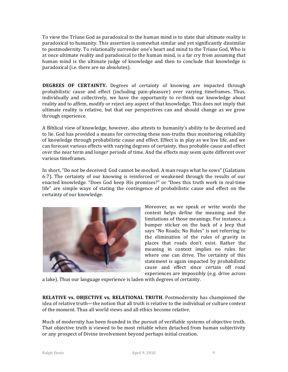To view the Triune God as paradoxical to the human mind is to state that ultimate reality is paradoxical to humanity. This assertion is somewhat similar and yet significantly dissimilar to postmodernity. To relationally surrender one's heart and mind to the Triune God, Who is at once ultimate reality and paradoxical to the human mind, is a far cry from assuming that human mind is the ultimate judge of knowledge and then to conclude that knowledge is paradoxical (i.e. there are no absolutes).

**DEGREES OF CERTAINTY.** Degrees of certainty of knowing are impacted through probabilistic cause and effect (including pain-pleasure) over varying timeframes. Thus, individually and collectively, we have the opportunity to re-think our knowledge about reality and to affirm, modify or reject any aspect of that knowledge. This does not imply that ultimate reality is relative, but that our perspectives can and should change as we grow through experience.

A Biblical view of knowledge, however, also attests to humanity's ability to be deceived and to lie. God has provided a means for correcting these non-truths thus monitoring reliability of knowledge through probabilistic cause and effect. Effect is in play as we live life, and we can forecast various effects with varying degrees of certainty, thus probable cause and effect over the near term and longer periods of time. And the effects may seem quite different over various timeframes.

In short, "Do not be deceived: God cannot be mocked. A man reaps what he sows" (Galatians 6:7). The certainty of our knowing is reinforced or weakened through the results of our enacted knowledge. "Does God keep His promises?" or "Does this truth work in real-time life" are simple ways of stating the contingence of probabilistic cause and effect on the certainty of our knowledge.



Moreover, as we speak or write words the context helps define the meaning and the limitations of those meanings. For instance, a bumper sticker on the back of a Jeep that says "No Roads; No Rules" is not referring to the elimination of the rules of gravity in places that roads don't exist. Rather the meaning in context implies no rules for where one can drive. The certainty of this statement is again impacted by probabilistic cause and effect since certain off road experiences are impossibly (e.g. drive across

a lake). Thus our language experience is laden with degrees of certainty.

**RELATIVE vs. OBJECTIVE vs. RELATIONAL TRUTH.** Postmodernity has championed the idea of relative truth—the notion that all truth is relative to the individual or culture context of the moment. Thus all world views and all ethics become relative.

Much of modernity has been founded in the pursuit of verifiable systems of objective truth. That objective truth is viewed to be most reliable when detached from human subjectivity or any prospect of Divine involvement beyond perhaps initial creation.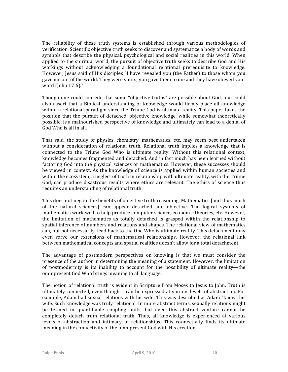The reliability of these truth systems is established through various methodologies of verification. Scientific objective truth seeks to discover and systematize a body of words and symbols that describe the physical, psychological and social realities in this world. When applied to the spiritual world, the pursuit of objective truth seeks to describe God and His workings without acknowledging a foundational relational prerequisite to knowledge. However, Jesus said of His disciples "I have revealed you (the Father) to those whom you gave me out of the world. They were yours; you gave them to me and they have obeyed your word (John 17:6)."

Though one could concede that some "objective truths" are possible about God, one could also assert that a Biblical understanding of knowledge would firmly place all knowledge within a relational paradigm since the Triune God is ultimate reality. This paper takes the position that the pursuit of detached, objective knowledge, while somewhat theoretically possible, is a malnourished perspective of knowledge and ultimately can lead to a denial of God Who is all in all.

That said, the study of physics, chemistry, mathematics, etc. may seem best undertaken without a consideration of relational truth. Relational truth implies a knowledge that is connected to the Triune God Who is ultimate reality. Without this relational context, knowledge becomes fragmented and detached. And in fact much has been learned without factoring God into the physical sciences or mathematics. However, these successes should be viewed in context. As the knowledge of science is applied within human societies and within the ecosystem, a neglect of truth in relationship with ultimate reality, with the Triune God, can produce disastrous results where ethics are relevant. The ethics of science thus requires an understanding of relational truth.

This does not negate the benefits of objective truth reasoning. Mathematics [and thus much of the natural sciences] can appear detached and objective. The logical systems of mathematics work well to help produce computer science, economic theories, etc. However, the limitation of mathematics as totally detached is grasped within the relationship to spatial inference of numbers and relations and shapes. The relational view of mathematics can, but not necessarily, lead back to the One Who is ultimate reality. This detachment may even serve our extensions of mathematical relationships. However, the relational link between mathematical concepts and spatial realities doesn't allow for a total detachment.

The advantage of postmodern perspectives on knowing is that we must consider the presence of the author in determining the meaning of a statement. However, the limitation of postmodernity is its inability to account for the possibility of ultimate reality—the omnipresent God Who brings meaning to all language.

The notion of relational truth is evident in Scripture from Moses to Jesus to John. Truth is ultimately connected, even though it can be expressed at various levels of abstraction. For example, Adam had sexual relations with his wife. This was described as Adam "knew" his wife. Such knowledge was truly relational. In more abstract terms, sexually relations might be termed in quantifiable coupling units, but even this abstract venture cannot be completely detach from relational truth. Thus, all knowledge is experienced at various levels of abstraction and intimacy of relationships. This connectivity finds its ultimate meaning in the connectivity of the omnipresent God with His creation.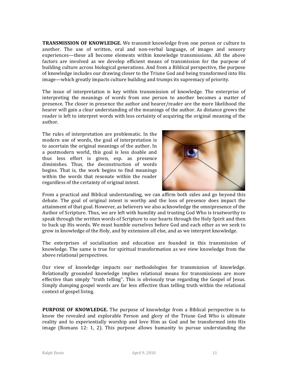**TRANSMISSION OF KNOWLEDGE.** We transmit knowledge from one person or culture to another. The use of written, oral and non-verbal language, of images and sensory experiences—these all become elements within knowledge transmissions. All the above factors are involved as we develop efficient means of transmission for the purpose of building culture across biological generations. And from a Biblical perspective, the purpose of knowledge includes our drawing closer to the Triune God and being transformed into His image—which greatly impacts culture building and trumps its supremacy of priority.

The issue of interpretation is key within transmission of knowledge. The enterprise of interpreting the meanings of words from one person to another becomes a matter of presence. The closer in presence the author and hearer/reader are the more likelihood the hearer will gain a clear understanding of the meanings of the author. As distance grows the reader is left to interpret words with less certainty of acquiring the original meaning of the author.

The rules of interpretation are problematic. In the modern use of words, the goal of interpretation is to ascertain the original meanings of the author. In a postmodern world, this goal is less doable and thus less effort is given, esp. as presence diminishes. Thus, the deconstruction of words begins. That is, the work begins to find meanings within the words that resonate within the reader regardless of the certainty of original intent.



From a practical and Biblical understanding, we can affirm both sides and go beyond this debate. The goal of original intent is worthy and the loss of presence does impact the attainment of that goal. However, as believers we also acknowledge the omnipresence of the Author of Scripture. Thus, we are left with humility and trusting God Who is trustworthy to speak through the written words of Scripture to our hearts through the Holy Spirit and then to back up His words. We must humble ourselves before God and each other as we seek to grow in knowledge of the Holy, and by extension all else, and as we interpret knowledge.

The enterprises of socialization and education are founded in this transmission of knowledge. The same is true for spiritual transformation as we view knowledge from the above relational perspectives.

Our view of knowledge impacts our methodologies for transmission of knowledge. Relationally grounded knowledge implies relational means for transmissions are more effective than simply "truth telling". This is obviously true regarding the Gospel of Jesus. Simply dumping gospel words are far less effective than telling truth within the relational context of gospel living.

**PURPOSE OF KNOWLEDGE.** The purpose of knowledge from a Biblical perspective is to know the revealed and explorable Person and glory of the Triune God Who is ultimate reality and to experientially worship and love Him as God and be transformed into His image (Romans 12: 1, 2). This purpose allows humanity to pursue understanding the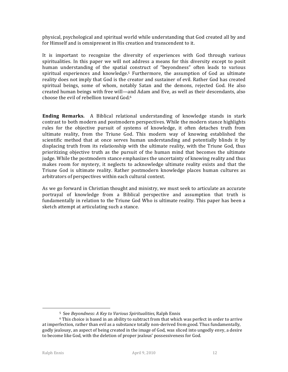physical, psychological and spiritual world while understanding that God created all by and for Himself and is omnipresent in His creation and transcendent to it.

It is important to recognize the diversity of experiences with God through various spiritualities. In this paper we will not address a means for this diversity except to posit human understanding of the spatial construct of "beyondness" often leads to various spiritual experiences and knowledge.<sup>5</sup> Furthermore, the assumption of God as ultimate reality does not imply that God is the creator and sustainer of evil. Rather God has created spiritual beings, some of whom, notably Satan and the demons, rejected God. He also created human beings with free will—and Adam and Eve, as well as their descendants, also choose the evil of rebellion toward God.<sup>6</sup>

**Ending Remarks.** A Biblical relational understanding of knowledge stands in stark contrast to both modern and postmodern perspectives. While the modern stance highlights rules for the objective pursuit of systems of knowledge, it often detaches truth from ultimate reality, from the Triune God. This modern way of knowing established the scientific method that at once serves human understanding and potentially blinds it by displacing truth from its relationship with the ultimate reality, with the Triune God, thus prioritizing objective truth as the pursuit of the human mind that becomes the ultimate judge. While the postmodern stance emphasizes the uncertainty of knowing reality and thus makes room for mystery, it neglects to acknowledge ultimate reality exists and that the Triune God is ultimate reality. Rather postmodern knowledge places human cultures as arbitrators of perspectives within each cultural context.

As we go forward in Christian thought and ministry, we must seek to articulate an accurate portrayal of knowledge from a Biblical perspective and assumption that truth is fundamentally in relation to the Triune God Who is ultimate reality. This paper has been a sketch attempt at articulating such a stance.

1

<sup>5</sup> See *Beyondness: A Key to Various Spiritualities*, Ralph Ennis

 $6$  This choice is based in an ability to subtract from that which was perfect in order to arrive at imperfection, rather than evil as a substance totally non-derived from good. Thus fundamentally, godly jealousy, an aspect of being created in the image of God, was sliced into ungodly envy, a desire to become like God, with the deletion of proper jealous' possessiveness for God.